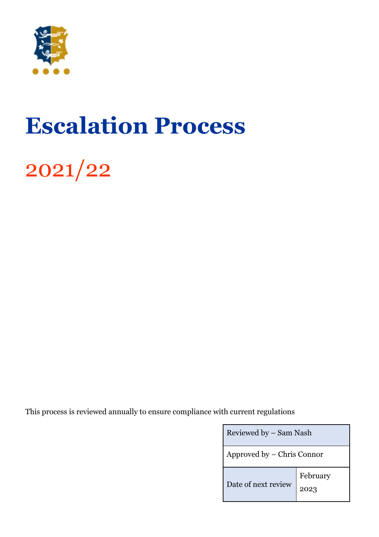

# **Escalation Process**

2021/22

This process is reviewed annually to ensure compliance with current regulations

| Reviewed by - Sam Nash     |                  |
|----------------------------|------------------|
| Approved by – Chris Connor |                  |
| Date of next review        | February<br>2023 |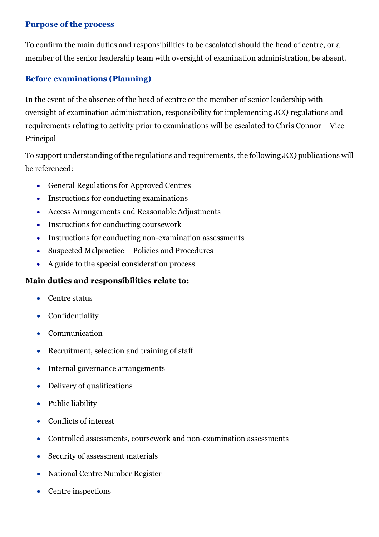#### **Purpose of the process**

To confirm the main duties and responsibilities to be escalated should the head of centre, or a member of the senior leadership team with oversight of examination administration, be absent.

## **Before examinations (Planning)**

In the event of the absence of the head of centre or the member of senior leadership with oversight of examination administration, responsibility for implementing JCQ regulations and requirements relating to activity prior to examinations will be escalated to Chris Connor – Vice Principal

To support understanding of the regulations and requirements, the following JCQ publications will be referenced:

- General Regulations for Approved Centres
- Instructions for conducting examinations
- Access Arrangements and Reasonable Adjustments
- Instructions for conducting coursework
- Instructions for conducting non-examination assessments
- Suspected Malpractice Policies and Procedures
- A guide to the special consideration process

## **Main duties and responsibilities relate to:**

- Centre status
- Confidentiality
- Communication
- Recruitment, selection and training of staff
- Internal governance arrangements
- Delivery of qualifications
- Public liability
- Conflicts of interest
- Controlled assessments, coursework and non-examination assessments
- Security of assessment materials
- National Centre Number Register
- Centre inspections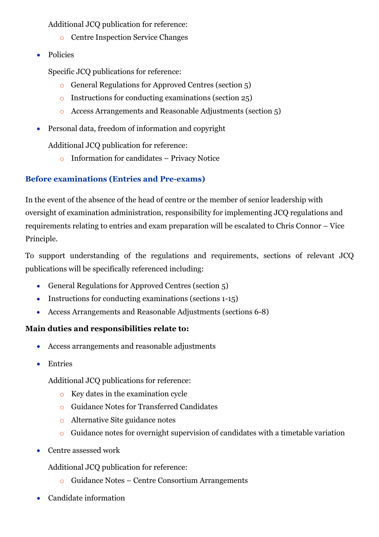Additional JCQ publication for reference:

- o Centre Inspection Service Changes
- Policies

Specific JCQ publications for reference:

- o General Regulations for Approved Centres (section 5)
- o Instructions for conducting examinations (section 25)
- o Access Arrangements and Reasonable Adjustments (section 5)
- Personal data, freedom of information and copyright

Additional JCQ publication for reference:

o Information for candidates – Privacy Notice

## **Before examinations (Entries and Pre-exams)**

In the event of the absence of the head of centre or the member of senior leadership with oversight of examination administration, responsibility for implementing JCQ regulations and requirements relating to entries and exam preparation will be escalated to Chris Connor – Vice Principle.

To support understanding of the regulations and requirements, sections of relevant JCQ publications will be specifically referenced including:

- General Regulations for Approved Centres (section 5)
- Instructions for conducting examinations (sections 1-15)
- Access Arrangements and Reasonable Adjustments (sections 6-8)

#### **Main duties and responsibilities relate to:**

- Access arrangements and reasonable adjustments
- Entries

Additional JCQ publications for reference:

- o Key dates in the examination cycle
- o Guidance Notes for Transferred Candidates
- o Alternative Site guidance notes
- o Guidance notes for overnight supervision of candidates with a timetable variation
- Centre assessed work

Additional JCQ publication for reference:

- o Guidance Notes Centre Consortium Arrangements
- Candidate information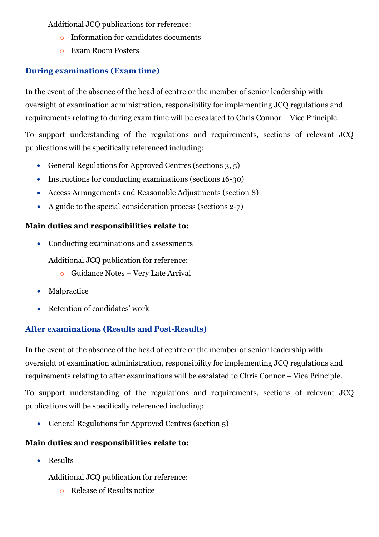Additional JCQ publications for reference:

- Information for candidates documents
- o Exam Room Posters

# **During examinations (Exam time)**

In the event of the absence of the head of centre or the member of senior leadership with oversight of examination administration, responsibility for implementing JCQ regulations and requirements relating to during exam time will be escalated to Chris Connor – Vice Principle.

To support understanding of the regulations and requirements, sections of relevant JCQ publications will be specifically referenced including:

- General Regulations for Approved Centres (sections 3, 5)
- Instructions for conducting examinations (sections 16-30)
- Access Arrangements and Reasonable Adjustments (section 8)
- A guide to the special consideration process (sections 2-7)

## **Main duties and responsibilities relate to:**

• Conducting examinations and assessments

Additional JCQ publication for reference:

- o Guidance Notes Very Late Arrival
- Malpractice
- Retention of candidates' work

# **After examinations (Results and Post-Results)**

In the event of the absence of the head of centre or the member of senior leadership with oversight of examination administration, responsibility for implementing JCQ regulations and requirements relating to after examinations will be escalated to Chris Connor – Vice Principle.

To support understanding of the regulations and requirements, sections of relevant JCQ publications will be specifically referenced including:

• General Regulations for Approved Centres (section 5)

# **Main duties and responsibilities relate to:**

• Results

Additional JCQ publication for reference:

o Release of Results notice